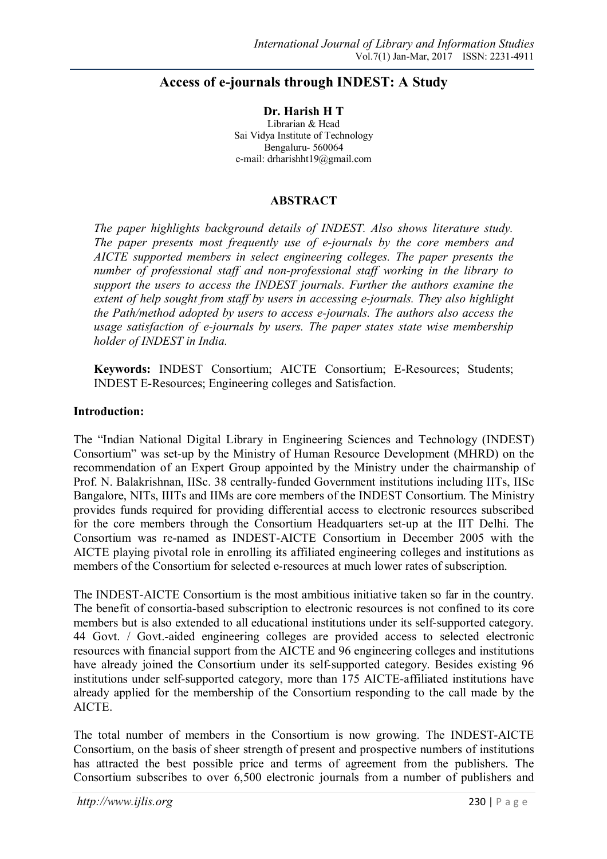# **Access of e-journals through INDEST: A Study**

**Dr. Harish H T**  Librarian & Head Sai Vidya Institute of Technology Bengaluru- 560064 e-mail: drharishht19@gmail.com

#### **ABSTRACT**

*The paper highlights background details of INDEST. Also shows literature study. The paper presents most frequently use of e-journals by the core members and AICTE supported members in select engineering colleges. The paper presents the number of professional staff and non-professional staff working in the library to support the users to access the INDEST journals. Further the authors examine the extent of help sought from staff by users in accessing e-journals. They also highlight the Path/method adopted by users to access e-journals. The authors also access the usage satisfaction of e-journals by users. The paper states state wise membership holder of INDEST in India.* 

**Keywords:** INDEST Consortium; AICTE Consortium; E-Resources; Students; INDEST E-Resources; Engineering colleges and Satisfaction.

#### **Introduction:**

The "Indian National Digital Library in Engineering Sciences and Technology (INDEST) Consortium" was set-up by the Ministry of Human Resource Development (MHRD) on the recommendation of an Expert Group appointed by the Ministry under the chairmanship of Prof. N. Balakrishnan, IISc. 38 centrally-funded Government institutions including IITs, IISc Bangalore, NITs, IIITs and IIMs are core members of the INDEST Consortium. The Ministry provides funds required for providing differential access to electronic resources subscribed for the core members through the Consortium Headquarters set-up at the IIT Delhi. The Consortium was re-named as INDEST-AICTE Consortium in December 2005 with the AICTE playing pivotal role in enrolling its affiliated engineering colleges and institutions as members of the Consortium for selected e-resources at much lower rates of subscription.

The INDEST-AICTE Consortium is the most ambitious initiative taken so far in the country. The benefit of consortia-based subscription to electronic resources is not confined to its core members but is also extended to all educational institutions under its self-supported category. 44 Govt. / Govt.-aided engineering colleges are provided access to selected electronic resources with financial support from the AICTE and 96 engineering colleges and institutions have already joined the Consortium under its self-supported category. Besides existing 96 institutions under self-supported category, more than 175 AICTE-affiliated institutions have already applied for the membership of the Consortium responding to the call made by the AICTE.

The total number of members in the Consortium is now growing. The INDEST-AICTE Consortium, on the basis of sheer strength of present and prospective numbers of institutions has attracted the best possible price and terms of agreement from the publishers. The Consortium subscribes to over 6,500 electronic journals from a number of publishers and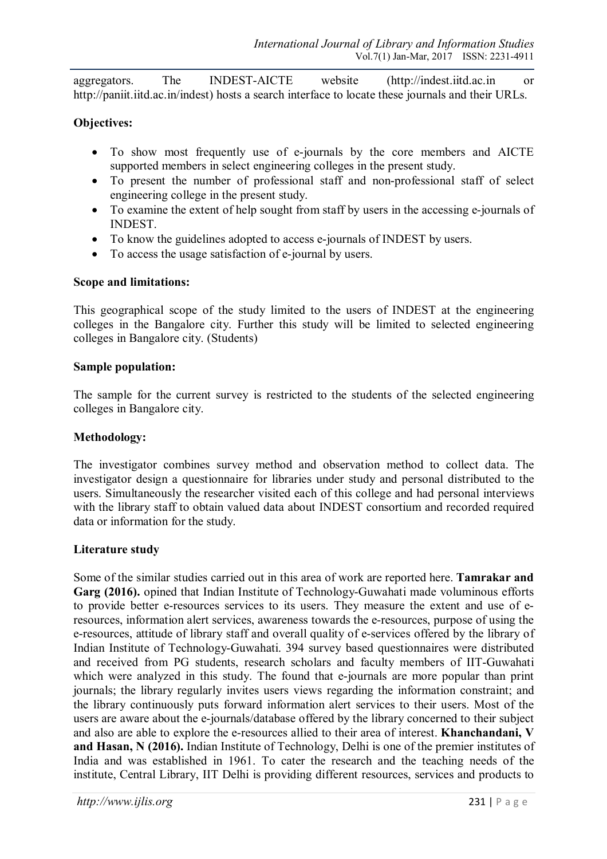aggregators. The INDEST-AICTE website (http://indest.iitd.ac.in or http://paniit.iitd.ac.in/indest) hosts a search interface to locate these journals and their URLs.

## **Objectives:**

- To show most frequently use of e-journals by the core members and AICTE supported members in select engineering colleges in the present study.
- To present the number of professional staff and non-professional staff of select engineering college in the present study.
- To examine the extent of help sought from staff by users in the accessing e-journals of INDEST.
- To know the guidelines adopted to access e-journals of INDEST by users.
- To access the usage satisfaction of e-journal by users.

### **Scope and limitations:**

This geographical scope of the study limited to the users of INDEST at the engineering colleges in the Bangalore city. Further this study will be limited to selected engineering colleges in Bangalore city. (Students)

#### **Sample population:**

The sample for the current survey is restricted to the students of the selected engineering colleges in Bangalore city.

### **Methodology:**

The investigator combines survey method and observation method to collect data. The investigator design a questionnaire for libraries under study and personal distributed to the users. Simultaneously the researcher visited each of this college and had personal interviews with the library staff to obtain valued data about INDEST consortium and recorded required data or information for the study.

### **Literature study**

Some of the similar studies carried out in this area of work are reported here. **Tamrakar and Garg (2016).** opined that Indian Institute of Technology-Guwahati made voluminous efforts to provide better e-resources services to its users. They measure the extent and use of eresources, information alert services, awareness towards the e-resources, purpose of using the e-resources, attitude of library staff and overall quality of e-services offered by the library of Indian Institute of Technology-Guwahati. 394 survey based questionnaires were distributed and received from PG students, research scholars and faculty members of IIT-Guwahati which were analyzed in this study. The found that e-journals are more popular than print journals; the library regularly invites users views regarding the information constraint; and the library continuously puts forward information alert services to their users. Most of the users are aware about the e-journals/database offered by the library concerned to their subject and also are able to explore the e-resources allied to their area of interest. **Khanchandani, V and Hasan, N (2016).** Indian Institute of Technology, Delhi is one of the premier institutes of India and was established in 1961. To cater the research and the teaching needs of the institute, Central Library, IIT Delhi is providing different resources, services and products to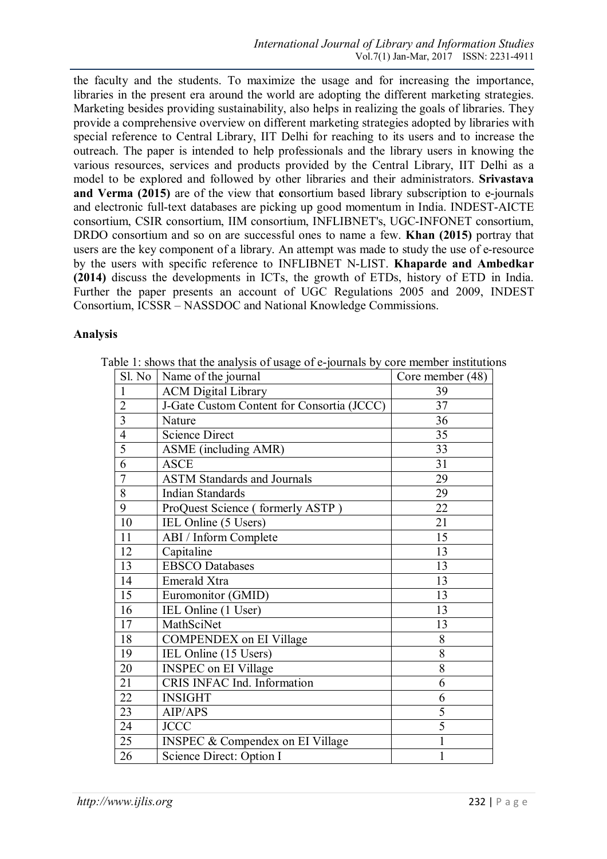the faculty and the students. To maximize the usage and for increasing the importance, libraries in the present era around the world are adopting the different marketing strategies. Marketing besides providing sustainability, also helps in realizing the goals of libraries. They provide a comprehensive overview on different marketing strategies adopted by libraries with special reference to Central Library, IIT Delhi for reaching to its users and to increase the outreach. The paper is intended to help professionals and the library users in knowing the various resources, services and products provided by the Central Library, IIT Delhi as a model to be explored and followed by other libraries and their administrators. **Srivastava and Verma (2015)** are of the view that **c**onsortium based library subscription to e-journals and electronic full-text databases are picking up good momentum in India. INDEST-AICTE consortium, CSIR consortium, IIM consortium, INFLIBNET's, UGC-INFONET consortium, DRDO consortium and so on are successful ones to name a few. **Khan (2015)** portray that users are the key component of a library. An attempt was made to study the use of e-resource by the users with specific reference to INFLIBNET N-LIST. **Khaparde and Ambedkar (2014)** discuss the developments in ICTs, the growth of ETDs, history of ETD in India. Further the paper presents an account of UGC Regulations 2005 and 2009, INDEST Consortium, ICSSR – NASSDOC and National Knowledge Commissions.

#### **Analysis**

|                 | ັ<br>Sl. No   Name of the journal           | Core member (48) |
|-----------------|---------------------------------------------|------------------|
| $\mathbf{1}$    | <b>ACM Digital Library</b>                  | 39               |
| $\overline{2}$  | J-Gate Custom Content for Consortia (JCCC)  | 37               |
| $\overline{3}$  | Nature                                      | 36               |
| $\overline{4}$  | <b>Science Direct</b>                       | 35               |
| $\overline{5}$  | ASME (including AMR)                        | 33               |
| $\overline{6}$  | <b>ASCE</b>                                 | 31               |
| $\overline{7}$  | <b>ASTM Standards and Journals</b>          | 29               |
| $\overline{8}$  | <b>Indian Standards</b>                     | 29               |
| $\overline{9}$  | ProQuest Science (formerly ASTP)            | 22               |
| $\overline{10}$ | IEL Online (5 Users)                        | 21               |
| 11              | ABI / Inform Complete                       | 15               |
| 12              | Capitaline                                  | 13               |
| 13              | <b>EBSCO</b> Databases                      | 13               |
| 14              | Emerald Xtra                                | 13               |
| 15              | Euromonitor (GMID)                          | 13               |
| 16              | IEL Online (1 User)                         | 13               |
| 17              | MathSciNet                                  | 13               |
| 18              | <b>COMPENDEX</b> on EI Village              | 8                |
| 19              | IEL Online (15 Users)                       | 8                |
| 20              | <b>INSPEC</b> on EI Village                 | 8                |
| 21              | CRIS INFAC Ind. Information                 | 6                |
| 22              | <b>INSIGHT</b>                              | 6                |
| 23              | AIP/APS                                     | $\overline{5}$   |
| 24              | <b>JCCC</b>                                 | 5                |
| 25              | <b>INSPEC &amp; Compendex on EI Village</b> | $\mathbf{1}$     |
| 26              | Science Direct: Option I                    | $\mathbf{1}$     |

Table 1: shows that the analysis of usage of e-journals by core member institutions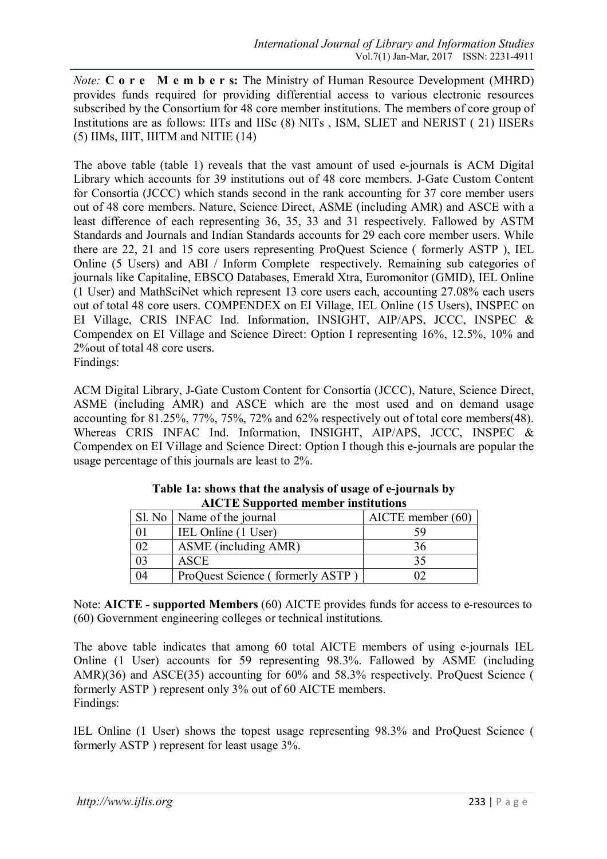*Note:* **C o r e M e m b e r s:** The Ministry of Human Resource Development (MHRD) provides funds required for providing differential access to various electronic resources subscribed by the Consortium for 48 core member institutions. The members of core group of Institutions are as follows: IITs and IISc (8) NITs , ISM, SLIET and NERIST ( 21) IISERs (5) IIMs, IIIT, IIITM and NITIE (14)

The above table (table 1) reveals that the vast amount of used e-journals is ACM Digital Library which accounts for 39 institutions out of 48 core members. J-Gate Custom Content for Consortia (JCCC) which stands second in the rank accounting for 37 core member users out of 48 core members. Nature, Science Direct, ASME (including AMR) and ASCE with a least difference of each representing 36, 35, 33 and 31 respectively. Fallowed by ASTM Standards and Journals and Indian Standards accounts for 29 each core member users. While there are 22, 21 and 15 core users representing ProQuest Science ( formerly ASTP ), IEL Online (5 Users) and ABI / Inform Complete respectively. Remaining sub categories of journals like Capitaline, EBSCO Databases, Emerald Xtra, Euromonitor (GMID), IEL Online (1 User) and MathSciNet which represent 13 core users each, accounting 27.08% each users out of total 48 core users. COMPENDEX on EI Village, IEL Online (15 Users), INSPEC on EI Village, CRIS INFAC Ind. Information, INSIGHT, AIP/APS, JCCC, INSPEC & Compendex on EI Village and Science Direct: Option I representing 16%, 12.5%, 10% and 2%out of total 48 core users.

Findings:

ACM Digital Library, J-Gate Custom Content for Consortia (JCCC), Nature, Science Direct, ASME (including AMR) and ASCE which are the most used and on demand usage accounting for 81.25%, 77%, 75%, 72% and 62% respectively out of total core members(48). Whereas CRIS INFAC Ind. Information, INSIGHT, AIP/APS, JCCC, INSPEC & Compendex on EI Village and Science Direct: Option I though this e-journals are popular the usage percentage of this journals are least to 2%.

| <u>THUTH Dupportue intimber institutions</u> |                                  |                       |  |  |
|----------------------------------------------|----------------------------------|-----------------------|--|--|
|                                              | Sl. No   Name of the journal     | $AICTE$ member $(60)$ |  |  |
|                                              | IEL Online (1 User)              | 59                    |  |  |
| 02                                           | ASME (including AMR)             |                       |  |  |
| 03                                           | <b>ASCE</b>                      | 35                    |  |  |
| 04                                           | ProQuest Science (formerly ASTP) |                       |  |  |

| Table 1a: shows that the analysis of usage of e-journals by |
|-------------------------------------------------------------|
| <b>AICTE</b> Supported member institutions                  |

Note: **AICTE - supported Members** (60) AICTE provides funds for access to e-resources to (60) Government engineering colleges or technical institutions.

The above table indicates that among 60 total AICTE members of using e-journals IEL Online (1 User) accounts for 59 representing 98.3%. Fallowed by ASME (including AMR)(36) and ASCE(35) accounting for 60% and 58.3% respectively. ProQuest Science ( formerly ASTP ) represent only 3% out of 60 AICTE members. Findings:

IEL Online (1 User) shows the topest usage representing 98.3% and ProQuest Science ( formerly ASTP ) represent for least usage 3%.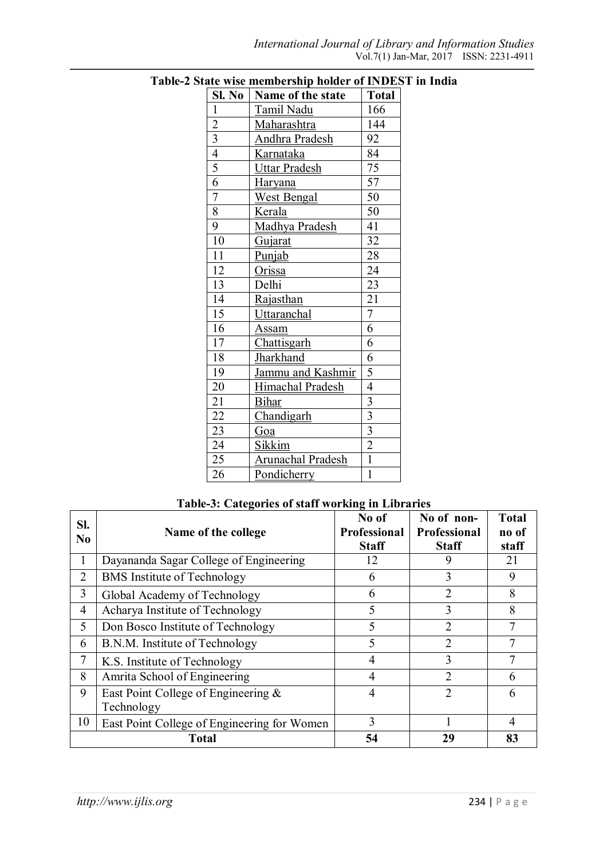| Sl. No                  | Name of the state        | <b>Total</b>            |
|-------------------------|--------------------------|-------------------------|
| $\mathbf{1}$            | <b>Tamil Nadu</b>        | 166                     |
| $\overline{c}$          | Maharashtra              | 144                     |
| $\overline{\mathbf{3}}$ | <b>Andhra Pradesh</b>    | 92                      |
| $\overline{4}$          | <b>Karnataka</b>         | 84                      |
| $\overline{5}$          | <b>Uttar Pradesh</b>     | 75                      |
| $\overline{6}$          | <b>Haryana</b>           | $\overline{57}$         |
| 7                       | <b>West Bengal</b>       | 50                      |
| 8                       | Kerala                   | 50                      |
| 9                       | Madhya Pradesh           | 41                      |
| 10                      | Gujarat                  | 32                      |
| 11                      | Punjab                   | 28                      |
| 12                      | Orissa                   | 24                      |
| 13                      | Delhi                    | 23                      |
| 14                      | Rajasthan                | 21                      |
| $\overline{15}$         | Uttaranchal              | $\overline{7}$          |
| 16                      | <u>Assam</u>             | 6                       |
| 17                      | Chattisgarh              | 6                       |
| 18                      | <b>Jharkhand</b>         | 6                       |
| 19                      | Jammu and Kashmir        | 5                       |
| 20                      | Himachal Pradesh         | $\overline{4}$          |
| 21                      | <b>Bihar</b>             |                         |
| $\overline{22}$         | Chandigarh               | $rac{3}{3}$             |
| 23                      | Goa                      | $\overline{\mathbf{3}}$ |
| 24                      | <b>Sikkim</b>            | $\overline{2}$          |
| 25                      | <b>Arunachal Pradesh</b> | $\overline{1}$          |
| 26                      | Pondicherry              | $\overline{1}$          |

**Table-2 State wise membership holder of INDEST in India**

# **Table-3: Categories of staff working in Libraries**

| Sl.<br>N <sub>0</sub> | Name of the college                               | No of<br>Professional<br><b>Staff</b> | No of non-<br>Professional<br><b>Staff</b> | <b>Total</b><br>no of<br>staff |
|-----------------------|---------------------------------------------------|---------------------------------------|--------------------------------------------|--------------------------------|
| 1                     | Dayananda Sagar College of Engineering            | 12                                    | 9                                          | 21                             |
| 2                     | <b>BMS</b> Institute of Technology                | 6                                     | 3                                          | 9                              |
| 3                     | Global Academy of Technology                      | 6                                     | 2                                          | 8                              |
| 4                     | Acharya Institute of Technology                   | 5                                     | 3                                          | 8                              |
| 5                     | Don Bosco Institute of Technology                 | 5                                     | $\overline{2}$                             | 7                              |
| 6                     | B.N.M. Institute of Technology                    | 5                                     | $\overline{2}$                             | 7                              |
| 7                     | K.S. Institute of Technology                      | 4                                     | 3                                          | 7                              |
| 8                     | Amrita School of Engineering                      | $\overline{4}$                        | $\overline{2}$                             | 6                              |
| 9                     | East Point College of Engineering &<br>Technology | $\overline{4}$                        | $\overline{2}$                             | 6                              |
| 10                    | East Point College of Engineering for Women       | 3                                     |                                            | 4                              |
|                       | <b>Total</b>                                      | 54                                    | 29                                         | 83                             |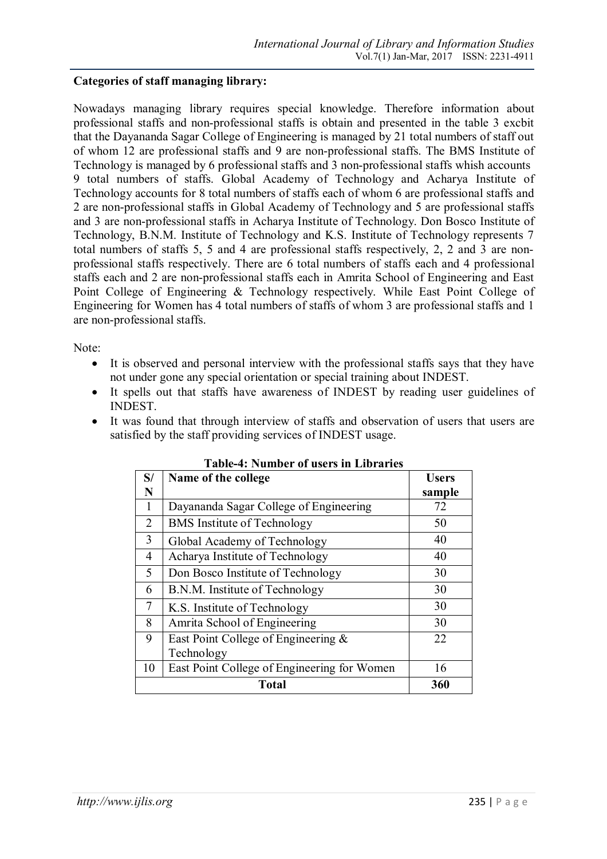### **Categories of staff managing library:**

Nowadays managing library requires special knowledge. Therefore information about professional staffs and non-professional staffs is obtain and presented in the table 3 excbit that the Dayananda Sagar College of Engineering is managed by 21 total numbers of staff out of whom 12 are professional staffs and 9 are non-professional staffs. The BMS Institute of Technology is managed by 6 professional staffs and 3 non-professional staffs whish accounts 9 total numbers of staffs. Global Academy of Technology and Acharya Institute of Technology accounts for 8 total numbers of staffs each of whom 6 are professional staffs and 2 are non-professional staffs in Global Academy of Technology and 5 are professional staffs and 3 are non-professional staffs in Acharya Institute of Technology. Don Bosco Institute of Technology, B.N.M. Institute of Technology and K.S. Institute of Technology represents 7 total numbers of staffs 5, 5 and 4 are professional staffs respectively, 2, 2 and 3 are nonprofessional staffs respectively. There are 6 total numbers of staffs each and 4 professional staffs each and 2 are non-professional staffs each in Amrita School of Engineering and East Point College of Engineering & Technology respectively. While East Point College of Engineering for Women has 4 total numbers of staffs of whom 3 are professional staffs and 1 are non-professional staffs.

Note:

- It is observed and personal interview with the professional staffs says that they have not under gone any special orientation or special training about INDEST.
- It spells out that staffs have awareness of INDEST by reading user guidelines of INDEST.
- It was found that through interview of staffs and observation of users that users are satisfied by the staff providing services of INDEST usage.

| S/ | Name of the college                         | <b>Users</b> |  |
|----|---------------------------------------------|--------------|--|
| N  |                                             | sample       |  |
| 1  | Dayananda Sagar College of Engineering      | 72           |  |
| 2  | <b>BMS</b> Institute of Technology          | 50           |  |
| 3  | Global Academy of Technology                | 40           |  |
| 4  | Acharya Institute of Technology             | 40           |  |
| 5  | Don Bosco Institute of Technology           | 30           |  |
| 6  | B.N.M. Institute of Technology              | 30           |  |
| 7  | K.S. Institute of Technology                | 30           |  |
| 8  | Amrita School of Engineering                | 30           |  |
| 9  | East Point College of Engineering &         | 22           |  |
|    | Technology                                  |              |  |
| 10 | East Point College of Engineering for Women | 16           |  |
|    | <b>Total</b><br>360                         |              |  |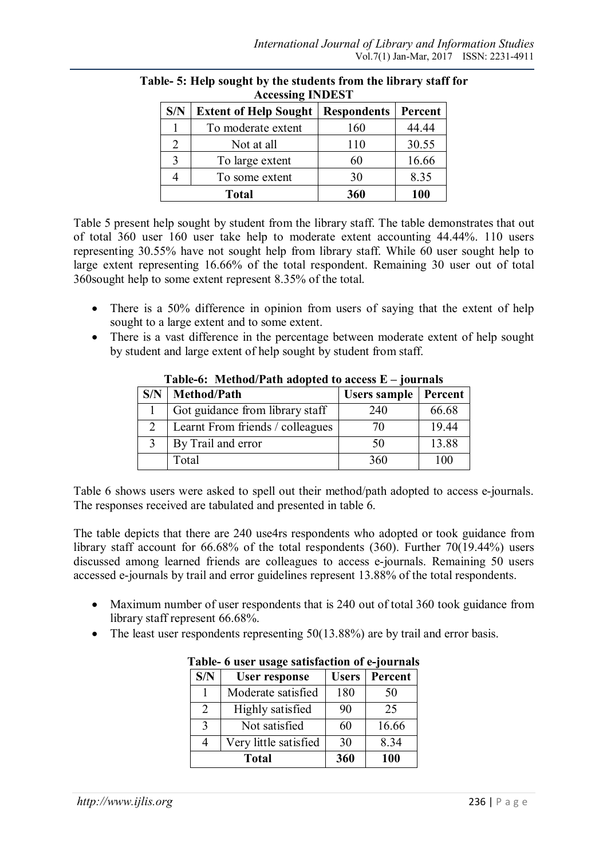| S/N | <b>Extent of Help Sought</b> | <b>Respondents</b> | Percent |  |
|-----|------------------------------|--------------------|---------|--|
|     | To moderate extent           | 160                | 44.44   |  |
|     | Not at all                   | 110                | 30.55   |  |
|     | To large extent              | 60                 | 16.66   |  |
|     | To some extent               | 30                 | 8.35    |  |
|     | 360<br>100<br><b>Total</b>   |                    |         |  |

#### **Table- 5: Help sought by the students from the library staff for Accessing INDEST**

Table 5 present help sought by student from the library staff. The table demonstrates that out of total 360 user 160 user take help to moderate extent accounting 44.44%. 110 users representing 30.55% have not sought help from library staff. While 60 user sought help to large extent representing 16.66% of the total respondent. Remaining 30 user out of total 360sought help to some extent represent 8.35% of the total.

- There is a 50% difference in opinion from users of saying that the extent of help sought to a large extent and to some extent.
- There is a vast difference in the percentage between moderate extent of help sought by student and large extent of help sought by student from staff.

| THOIC OF THECHIOM I WELL WAODECH TO MECCHIN LI |                                  |              |         |
|------------------------------------------------|----------------------------------|--------------|---------|
| S/N                                            | Method/Path                      | Users sample | Percent |
|                                                | Got guidance from library staff  | 240          | 66.68   |
|                                                | Learnt From friends / colleagues | 70           | 19.44   |
|                                                | By Trail and error               | 50           | 13.88   |
|                                                | Total                            | 360          | 100     |

**Table-6: Method/Path adopted to access E – journals**

Table 6 shows users were asked to spell out their method/path adopted to access e-journals. The responses received are tabulated and presented in table 6.

The table depicts that there are 240 use4rs respondents who adopted or took guidance from library staff account for 66.68% of the total respondents (360). Further 70(19.44%) users discussed among learned friends are colleagues to access e-journals. Remaining 50 users accessed e-journals by trail and error guidelines represent 13.88% of the total respondents.

- Maximum number of user respondents that is 240 out of total 360 took guidance from library staff represent 66.68%.
- The least user respondents representing 50(13.88%) are by trail and error basis.

| <b>C</b> aber abage bathsmetion of e-journals |                       |              |         |  |
|-----------------------------------------------|-----------------------|--------------|---------|--|
| S/N                                           | <b>User response</b>  | <b>Users</b> | Percent |  |
|                                               | Moderate satisfied    | 180          | 50      |  |
| $\overline{2}$                                | Highly satisfied      | 90           | 25      |  |
| 3                                             | Not satisfied         | 60           | 16.66   |  |
| 4                                             | Very little satisfied | 30           | 8.34    |  |
|                                               | <b>Total</b>          | 360          | 100     |  |

**Table- 6 user usage satisfaction of e-journals**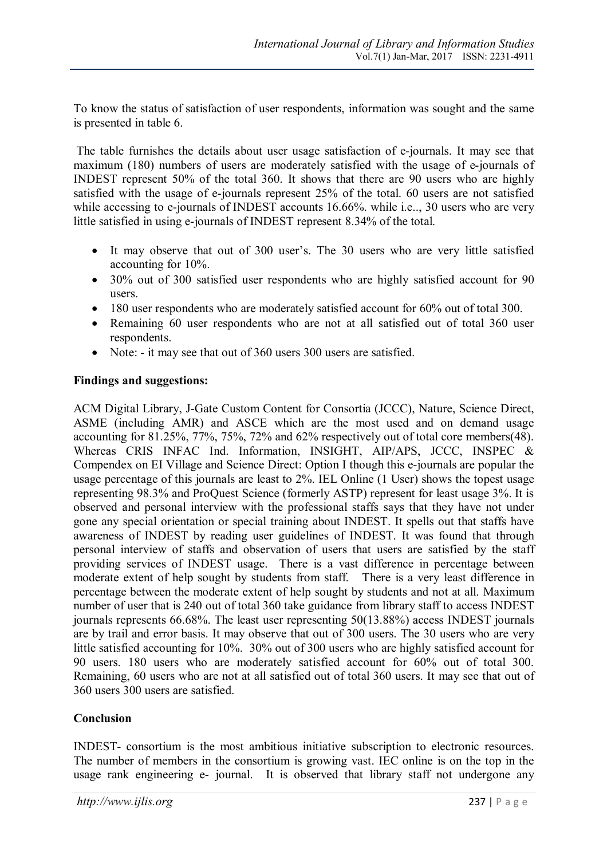To know the status of satisfaction of user respondents, information was sought and the same is presented in table 6.

The table furnishes the details about user usage satisfaction of e-journals. It may see that maximum (180) numbers of users are moderately satisfied with the usage of e-journals of INDEST represent 50% of the total 360. It shows that there are 90 users who are highly satisfied with the usage of e-journals represent 25% of the total. 60 users are not satisfied while accessing to e-journals of INDEST accounts 16.66%, while i.e., 30 users who are very little satisfied in using e-journals of INDEST represent 8.34% of the total.

- It may observe that out of 300 user's. The 30 users who are very little satisfied accounting for 10%.
- 30% out of 300 satisfied user respondents who are highly satisfied account for 90 users.
- 180 user respondents who are moderately satisfied account for 60% out of total 300.
- Remaining 60 user respondents who are not at all satisfied out of total 360 user respondents.
- Note: it may see that out of 360 users 300 users are satisfied.

### **Findings and suggestions:**

ACM Digital Library, J-Gate Custom Content for Consortia (JCCC), Nature, Science Direct, ASME (including AMR) and ASCE which are the most used and on demand usage accounting for 81.25%, 77%, 75%, 72% and 62% respectively out of total core members(48). Whereas CRIS INFAC Ind. Information, INSIGHT, AIP/APS, JCCC, INSPEC & Compendex on EI Village and Science Direct: Option I though this e-journals are popular the usage percentage of this journals are least to 2%. IEL Online (1 User) shows the topest usage representing 98.3% and ProQuest Science (formerly ASTP) represent for least usage 3%. It is observed and personal interview with the professional staffs says that they have not under gone any special orientation or special training about INDEST. It spells out that staffs have awareness of INDEST by reading user guidelines of INDEST. It was found that through personal interview of staffs and observation of users that users are satisfied by the staff providing services of INDEST usage. There is a vast difference in percentage between moderate extent of help sought by students from staff. There is a very least difference in percentage between the moderate extent of help sought by students and not at all. Maximum number of user that is 240 out of total 360 take guidance from library staff to access INDEST journals represents 66.68%. The least user representing 50(13.88%) access INDEST journals are by trail and error basis. It may observe that out of 300 users. The 30 users who are very little satisfied accounting for 10%. 30% out of 300 users who are highly satisfied account for 90 users. 180 users who are moderately satisfied account for 60% out of total 300. Remaining, 60 users who are not at all satisfied out of total 360 users. It may see that out of 360 users 300 users are satisfied.

### **Conclusion**

INDEST- consortium is the most ambitious initiative subscription to electronic resources. The number of members in the consortium is growing vast. IEC online is on the top in the usage rank engineering e- journal. It is observed that library staff not undergone any